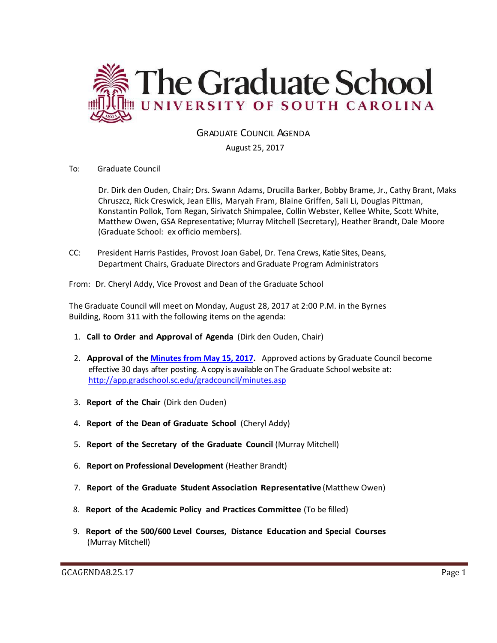

GRADUATE COUNCIL AGENDA

August 25, 2017

To: Graduate Council

Dr. Dirk den Ouden, Chair; Drs. Swann Adams, Drucilla Barker, Bobby Brame, Jr., Cathy Brant, Maks Chruszcz, Rick Creswick, Jean Ellis, Maryah Fram, Blaine Griffen, Sali Li, Douglas Pittman, Konstantin Pollok, Tom Regan, Sirivatch Shimpalee, Collin Webster, Kellee White, Scott White, Matthew Owen, GSA Representative; Murray Mitchell (Secretary), Heather Brandt, Dale Moore (Graduate School: ex officio members).

CC: President Harris Pastides, Provost Joan Gabel, Dr. Tena Crews, Katie Sites, Deans, Department Chairs, Graduate Directors and Graduate Program Administrators

From: Dr. Cheryl Addy, Vice Provost and Dean of the Graduate School

The Graduate Council will meet on Monday, August 28, 2017 at 2:00 P.M. in the Byrnes Building, Room 311 with the following items on the agenda:

- 1. **Call to Order and Approval of Agenda** (Dirk den Ouden, Chair)
- 2. **Approval of the [Minutes from May](file:///C:/Users/wandab/AppData/Local/Microsoft/Windows/Temporary%20Internet%20Files/Content.Outlook/SF3AX03H/GCMINUTESMAY152017MM.pdf) 15, 2017.** Approved actions by Graduate Council become effective 30 days after posting. A copy is available on The Graduate School website at: <http://app.gradschool.sc.edu/gradcouncil/minutes.asp>
- 3. **Report of the Chair** (Dirk den Ouden)
- 4. **Report of the Dean of Graduate School** (Cheryl Addy)
- 5. **Report of the Secretary of the Graduate Council** (Murray Mitchell)
- 6. **Report on Professional Development** (Heather Brandt)
- 7. **Report of the Graduate Student Association Representative** (Matthew Owen)
- 8. **Report of the Academic Policy and Practices Committee** (To be filled)
- 9. **Report of the 500/600 Level Courses, Distance Education and Special Courses** (Murray Mitchell)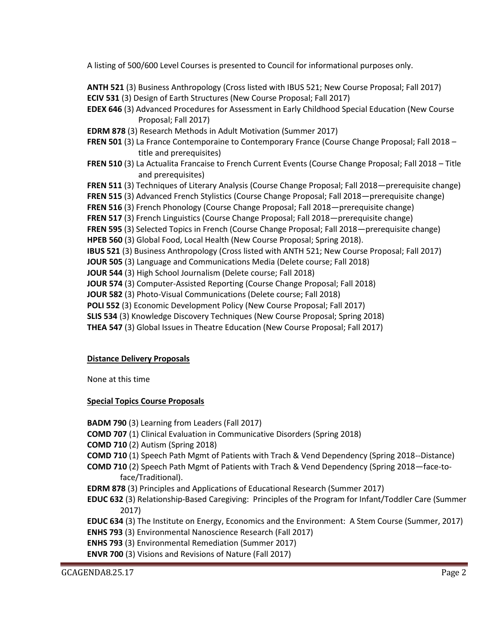A listing of 500/600 Level Courses is presented to Council for informational purposes only.

**ANTH 521** (3) Business Anthropology (Cross listed with IBUS 521; New Course Proposal; Fall 2017) **ECIV 531** (3) Design of Earth Structures (New Course Proposal; Fall 2017)

- **EDEX 646** (3) Advanced Procedures for Assessment in Early Childhood Special Education (New Course Proposal; Fall 2017)
- **EDRM 878** (3) Research Methods in Adult Motivation (Summer 2017)
- **FREN 501** (3) La France Contemporaine to Contemporary France (Course Change Proposal; Fall 2018 title and prerequisites)
- **FREN 510** (3) La Actualita Francaise to French Current Events (Course Change Proposal; Fall 2018 Title and prerequisites)
- **FREN 511** (3) Techniques of Literary Analysis (Course Change Proposal; Fall 2018—prerequisite change)
- **FREN 515** (3) Advanced French Stylistics (Course Change Proposal; Fall 2018—prerequisite change)
- **FREN 516** (3) French Phonology (Course Change Proposal; Fall 2018—prerequisite change)
- **FREN 517** (3) French Linguistics (Course Change Proposal; Fall 2018—prerequisite change)
- **FREN 595** (3) Selected Topics in French (Course Change Proposal; Fall 2018—prerequisite change)
- **HPEB 560** (3) Global Food, Local Health (New Course Proposal; Spring 2018).
- **IBUS 521** (3) Business Anthropology (Cross listed with ANTH 521; New Course Proposal; Fall 2017)
- **JOUR 505** (3) Language and Communications Media (Delete course; Fall 2018)
- **JOUR 544** (3) High School Journalism (Delete course; Fall 2018)
- **JOUR 574** (3) Computer-Assisted Reporting (Course Change Proposal; Fall 2018)
- **JOUR 582** (3) Photo-Visual Communications (Delete course; Fall 2018)
- **POLI 552** (3) Economic Development Policy (New Course Proposal; Fall 2017)
- **SLIS 534** (3) Knowledge Discovery Techniques (New Course Proposal; Spring 2018)
- **THEA 547** (3) Global Issues in Theatre Education (New Course Proposal; Fall 2017)

# **Distance Delivery Proposals**

None at this time

# **Special Topics Course Proposals**

**BADM 790** (3) Learning from Leaders (Fall 2017)

**COMD 707** (1) Clinical Evaluation in Communicative Disorders (Spring 2018)

**COMD 710** (2) Autism (Spring 2018)

- **COMD 710** (1) Speech Path Mgmt of Patients with Trach & Vend Dependency (Spring 2018--Distance)
- **COMD 710** (2) Speech Path Mgmt of Patients with Trach & Vend Dependency (Spring 2018—face-toface/Traditional).
- **EDRM 878** (3) Principles and Applications of Educational Research (Summer 2017)
- **EDUC 632** (3) Relationship-Based Caregiving: Principles of the Program for Infant/Toddler Care (Summer 2017)
- **EDUC 634** (3) The Institute on Energy, Economics and the Environment: A Stem Course (Summer, 2017)
- **ENHS 793** (3) Environmental Nanoscience Research (Fall 2017)
- **ENHS 793** (3) Environmental Remediation (Summer 2017)
- **ENVR 700** (3) Visions and Revisions of Nature (Fall 2017)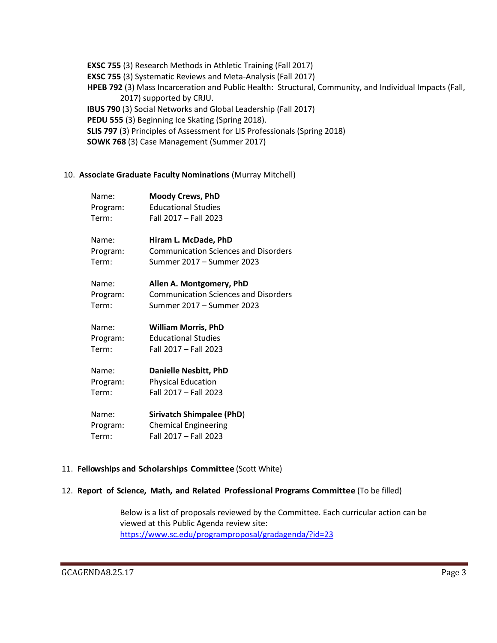**EXSC 755** (3) Research Methods in Athletic Training (Fall 2017) **EXSC 755** (3) Systematic Reviews and Meta-Analysis (Fall 2017) **HPEB 792** (3) Mass Incarceration and Public Health: Structural, Community, and Individual Impacts (Fall, 2017) supported by CRJU. **IBUS 790** (3) Social Networks and Global Leadership (Fall 2017) PEDU 555 (3) Beginning Ice Skating (Spring 2018). **SLIS 797** (3) Principles of Assessment for LIS Professionals (Spring 2018) **SOWK 768** (3) Case Management (Summer 2017)

#### 10. **Associate Graduate Faculty Nominations** (Murray Mitchell)

| Name:                | <b>Moody Crews, PhD</b>                     |
|----------------------|---------------------------------------------|
| Program:             | <b>Educational Studies</b>                  |
| Term:                | Fall 2017 - Fall 2023                       |
| Name:                | Hiram L. McDade, PhD                        |
| Program:             | <b>Communication Sciences and Disorders</b> |
| Term:                | Summer 2017 - Summer 2023                   |
| Name:                | Allen A. Montgomery, PhD                    |
| Program:             | <b>Communication Sciences and Disorders</b> |
| Term:                | Summer 2017 - Summer 2023                   |
| Name:                | <b>William Morris, PhD</b>                  |
| Program:             | <b>Educational Studies</b>                  |
| Term:                | Fall 2017 - Fall 2023                       |
| Name:                | <b>Danielle Nesbitt, PhD</b>                |
| Program:             | <b>Physical Education</b>                   |
| Term:                | Fall 2017 - Fall 2023                       |
| Name:                | <b>Sirivatch Shimpalee (PhD)</b>            |
| Program <sup>.</sup> | Chemical Engineering                        |

Program: Chemical Engineering Term: Fall 2017 – Fall 2023

# 11. **Fellowships and Scholarships Committee** (Scott White)

#### 12. **Report of Science, Math, and Related Professional Programs Committee** (To be filled)

Below is a list of proposals reviewed by the Committee. Each curricular action can be viewed at this Public Agenda review site: <https://www.sc.edu/programproposal/gradagenda/?id=23>